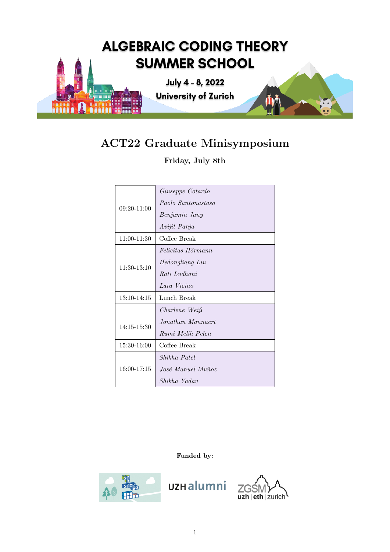

# ACT22 Graduate Minisymposium

Friday, July 8th

| $09:20-11:00$   | Giuseppe Cotardo       |
|-----------------|------------------------|
|                 | Paolo Santonastaso     |
|                 | Benjamin Jany          |
|                 | Avijit Panja           |
| 11:00-11:30     | Coffee Break           |
| $11:30-13:10$   | Felicitas Hörmann      |
|                 | <i>Hedongliang Liu</i> |
|                 | Rati Ludhani           |
|                 | Lara Vicino            |
| 13:10-14:15     | Lunch Break            |
|                 | Charlene Weiß          |
| $14:15 - 15:30$ | Jonathan Mannaert      |
|                 | Rumi Melih Pelen       |
| 15:30-16:00     | Coffee Break           |
| $16:00 - 17:15$ | Shikha Patel           |
|                 | José Manuel Muñoz      |
|                 | Shikha Yadav           |

Funded by:



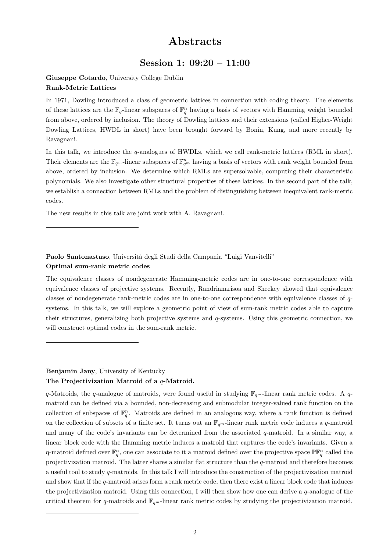## Abstracts

## Session 1: 09:20 – 11:00

Giuseppe Cotardo, University College Dublin Rank-Metric Lattices

In 1971, Dowling introduced a class of geometric lattices in connection with coding theory. The elements of these lattices are the  $\mathbb{F}_q$ -linear subspaces of  $\mathbb{F}_q^n$  having a basis of vectors with Hamming weight bounded from above, ordered by inclusion. The theory of Dowling lattices and their extensions (called Higher-Weight Dowling Lattices, HWDL in short) have been brought forward by Bonin, Kung, and more recently by Ravagnani.

In this talk, we introduce the q-analogues of HWDLs, which we call rank-metric lattices (RML in short). Their elements are the  $\mathbb{F}_{q^m}$ -linear subspaces of  $\mathbb{F}_{q^m}^n$  having a basis of vectors with rank weight bounded from above, ordered by inclusion. We determine which RMLs are supersolvable, computing their characteristic polynomials. We also investigate other structural properties of these lattices. In the second part of the talk, we establish a connection between RMLs and the problem of distinguishing between inequivalent rank-metric codes.

The new results in this talk are joint work with A. Ravagnani.

Paolo Santonastaso, Università degli Studi della Campania "Luigi Vanvitelli" Optimal sum-rank metric codes

The equivalence classes of nondegenerate Hamming-metric codes are in one-to-one correspondence with equivalence classes of projective systems. Recently, Randrianarisoa and Sheekey showed that equivalence classes of nondegenerate rank-metric codes are in one-to-one correspondence with equivalence classes of qsystems. In this talk, we will explore a geometric point of view of sum-rank metric codes able to capture their structures, generalizing both projective systems and q-systems. Using this geometric connection, we will construct optimal codes in the sum-rank metric.

## Benjamin Jany, University of Kentucky The Projectivization Matroid of a q-Matroid.

q-Matroids, the q-analogue of matroids, were found useful in studying  $\mathbb{F}_{q^m}$ -linear rank metric codes. A qmatroid can be defined via a bounded, non-decreasing and submodular integer-valued rank function on the collection of subspaces of  $\mathbb{F}_q^n$ . Matroids are defined in an analogous way, where a rank function is defined on the collection of subsets of a finite set. It turns out an  $\mathbb{F}_{q^m}$ -linear rank metric code induces a q-matroid and many of the code's invariants can be determined from the associated q-matroid. In a similar way, a linear block code with the Hamming metric induces a matroid that captures the code's invariants. Given a q-matroid defined over  $\mathbb{F}_q^n$ , one can associate to it a matroid defined over the projective space  $\mathbb{PF}_q^n$  called the projectivization matroid. The latter shares a similar flat structure than the q-matroid and therefore becomes a useful tool to study q-matroids. In this talk I will introduce the construction of the projectivization matroid and show that if the q-matroid arises form a rank metric code, then there exist a linear block code that induces the projectivization matroid. Using this connection, I will then show how one can derive a  $q$ -analogue of the critical theorem for q-matroids and  $\mathbb{F}_{q^m}$ -linear rank metric codes by studying the projectivization matroid.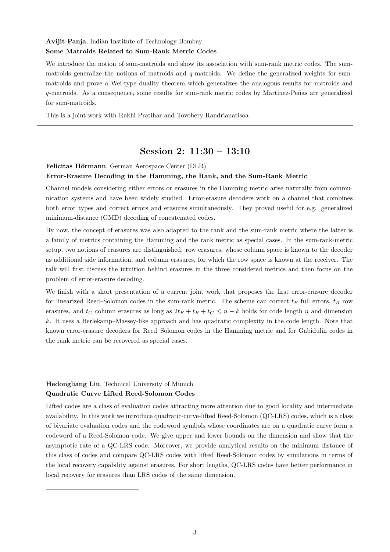## Avijit Panja, Indian Institute of Technology Bombay Some Matroids Related to Sum-Rank Metric Codes

We introduce the notion of sum-matroids and show its association with sum-rank metric codes. The summatroids generalize the notions of matroids and  $q$ -matroids. We define the generalized weights for summatroids and prove a Wei-type duality theorem which generalizes the analogous results for matroids and q-matroids. As a consequence, some results for sum-rank metric codes by Martínez-Peñas are generalized for sum-matroids.

This is a joint work with Rakhi Pratihar and Tovohery Randrianarisoa

## Session 2: 11:30 – 13:10

## Felicitas Hörmann, German Aerospace Center (DLR) Error-Erasure Decoding in the Hamming, the Rank, and the Sum-Rank Metric

Channel models considering either errors or erasures in the Hamming metric arise naturally from communication systems and have been widely studied. Error-erasure decoders work on a channel that combines both error types and correct errors and erasures simultaneously. They proved useful for e.g. generalized minimum-distance (GMD) decoding of concatenated codes.

By now, the concept of erasures was also adapted to the rank and the sum-rank metric where the latter is a family of metrics containing the Hamming and the rank metric as special cases. In the sum-rank-metric setup, two notions of erasures are distinguished: row erasures, whose column space is known to the decoder as additional side information, and column erasures, for which the row space is known at the receiver. The talk will first discuss the intuition behind erasures in the three considered metrics and then focus on the problem of error-erasure decoding.

We finish with a short presentation of a current joint work that proposes the first error-erasure decoder for linearized Reed–Solomon codes in the sum-rank metric. The scheme can correct  $t_F$  full errors,  $t_R$  row erasures, and  $t_C$  column erasures as long as  $2t_F + t_R + t_C \leq n - k$  holds for code length n and dimension k. It uses a Berlekamp–Massey-like approach and has quadratic complexity in the code length. Note that known error-erasure decoders for Reed–Solomon codes in the Hamming metric and for Gabidulin codes in the rank metric can be recovered as special cases.

## Hedongliang Liu, Technical University of Munich Quadratic Curve Lifted Reed-Solomon Codes

Lifted codes are a class of evaluation codes attracting more attention due to good locality and intermediate availability. In this work we introduce quadratic-curve-lifted Reed-Solomon (QC-LRS) codes, which is a class of bivariate evaluation codes and the codeword symbols whose coordinates are on a quadratic curve form a codeword of a Reed-Solomon code. We give upper and lower bounds on the dimension and show that the asymptotic rate of a QC-LRS code. Moreover, we provide analytical results on the minimum distance of this class of codes and compare QC-LRS codes with lifted Reed-Solomon codes by simulations in terms of the local recovery capability against erasures. For short lengths, QC-LRS codes have better performance in local recovery for erasures than LRS codes of the same dimension.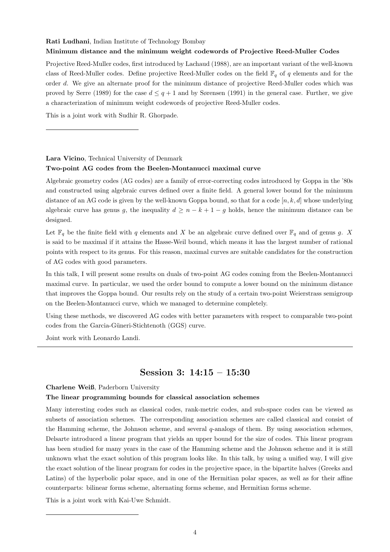#### Rati Ludhani, Indian Institute of Technology Bombay

#### Minimum distance and the minimum weight codewords of Projective Reed-Muller Codes

Projective Reed-Muller codes, first introduced by Lachaud (1988), are an important variant of the well-known class of Reed-Muller codes. Define projective Reed-Muller codes on the field  $\mathbb{F}_q$  of q elements and for the order d. We give an alternate proof for the minimum distance of projective Reed-Muller codes which was proved by Serre (1989) for the case  $d \leq q+1$  and by Sørensen (1991) in the general case. Further, we give a characterization of minimum weight codewords of projective Reed-Muller codes.

This is a joint work with Sudhir R. Ghorpade.

Lara Vicino, Technical University of Denmark

#### Two-point AG codes from the Beelen-Montanucci maximal curve

Algebraic geometry codes (AG codes) are a family of error-correcting codes introduced by Goppa in the '80s and constructed using algebraic curves defined over a finite field. A general lower bound for the minimum distance of an AG code is given by the well-known Goppa bound, so that for a code  $[n, k, d]$  whose underlying algebraic curve has genus g, the inequality  $d \geq n - k + 1 - g$  holds, hence the minimum distance can be designed.

Let  $\mathbb{F}_q$  be the finite field with q elements and X be an algebraic curve defined over  $\mathbb{F}_q$  and of genus g. X is said to be maximal if it attains the Hasse-Weil bound, which means it has the largest number of rational points with respect to its genus. For this reason, maximal curves are suitable candidates for the construction of AG codes with good parameters.

In this talk, I will present some results on duals of two-point AG codes coming from the Beelen-Montanucci maximal curve. In particular, we used the order bound to compute a lower bound on the minimum distance that improves the Goppa bound. Our results rely on the study of a certain two-point Weierstrass semigroup on the Beelen-Montanucci curve, which we managed to determine completely.

Using these methods, we discovered AG codes with better parameters with respect to comparable two-point codes from the Garcia-Güneri-Stichtenoth (GGS) curve.

Joint work with Leonardo Landi.

## Session 3: 14:15 – 15:30

Charlene Weiß, Paderborn University

#### The linear programming bounds for classical association schemes

Many interesting codes such as classical codes, rank-metric codes, and sub-space codes can be viewed as subsets of association schemes. The corresponding association schemes are called classical and consist of the Hamming scheme, the Johnson scheme, and several  $q$ -analogs of them. By using association schemes, Delsarte introduced a linear program that yields an upper bound for the size of codes. This linear program has been studied for many years in the case of the Hamming scheme and the Johnson scheme and it is still unknown what the exact solution of this program looks like. In this talk, by using a unified way, I will give the exact solution of the linear program for codes in the projective space, in the bipartite halves (Greeks and Latins) of the hyperbolic polar space, and in one of the Hermitian polar spaces, as well as for their affine counterparts: bilinear forms scheme, alternating forms scheme, and Hermitian forms scheme.

This is a joint work with Kai-Uwe Schmidt.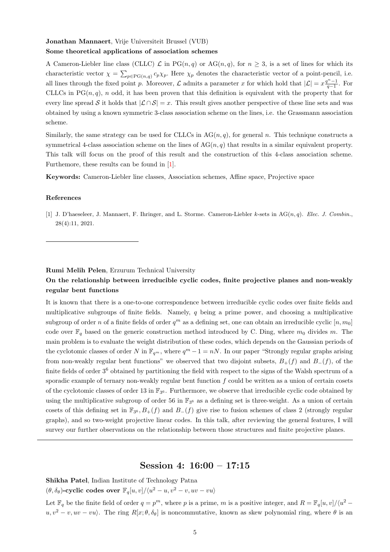### Jonathan Mannaert, Vrije Universiteit Brussel (VUB) Some theoretical applications of association schemes

A Cameron-Liebler line class (CLLC)  $\mathcal L$  in PG $(n, q)$  or AG $(n, q)$ , for  $n \geq 3$ , is a set of lines for which its characteristic vector  $\chi = \sum_{p \in PG(n,q)} c_p \chi_p$ . Here  $\chi_p$  denotes the characteristic vector of a point-pencil, i.e. all lines through the fixed point p. Moreover,  $\mathcal L$  admits a parameter x for which hold that  $|\mathcal L| = x \frac{q^{n-1}}{q-1}$ . For CLLCs in  $PG(n, q)$ , n odd, it has been proven that this definition is equivalent with the property that for every line spread S it holds that  $|\mathcal{L} \cap \mathcal{S}| = x$ . This result gives another perspective of these line sets and was obtained by using a known symmetric 3-class association scheme on the lines, i.e. the Grassmann association scheme.

Similarly, the same strategy can be used for CLLCs in  $AG(n, q)$ , for general n. This technique constructs a symmetrical 4-class association scheme on the lines of  $AG(n, q)$  that results in a similar equivalent property. This talk will focus on the proof of this result and the construction of this 4-class association scheme. Furthemore, these results can be found in [\[1\]](#page-4-0).

Keywords: Cameron-Liebler line classes, Association schemes, Affine space, Projective space

#### References

<span id="page-4-0"></span>[1] J. D'haeseleer, J. Mannaert, F. Ihringer, and L. Storme. Cameron-Liebler k-sets in  $AG(n, q)$ . Elec. J. Combin., 28(4):11, 2021.

#### Rumi Melih Pelen, Erzurum Technical University

## On the relationship between irreducible cyclic codes, finite projective planes and non-weakly regular bent functions

It is known that there is a one-to-one correspondence between irreducible cyclic codes over finite fields and multiplicative subgroups of finite fields. Namely, q being a prime power, and choosing a multiplicative subgroup of order n of a finite fields of order  $q^m$  as a defining set, one can obtain an irreducible cyclic  $[n, m_0]$ code over  $\mathbb{F}_q$  based on the generic construction method introduced by C. Ding, where  $m_0$  divides m. The main problem is to evaluate the weight distribution of these codes, which depends on the Gaussian periods of the cyclotomic classes of order N in  $\mathbb{F}_{q^m}$ , where  $q^m - 1 = nN$ . In our paper "Strongly regular graphs arising from non-weakly regular bent functions" we observed that two disjoint subsets,  $B_{+}(f)$  and  $B_{-}(f)$ , of the finite fields of order 3<sup>6</sup> obtained by partitioning the field with respect to the signs of the Walsh spectrum of a sporadic example of ternary non-weakly regular bent function  $f$  could be written as a union of certain cosets of the cyclotomic classes of order 13 in  $\mathbb{F}_{3^6}$ . Furthermore, we observe that irreducible cyclic code obtained by using the multiplicative subgroup of order 56 in  $\mathbb{F}_{3^6}$  as a defining set is three-weight. As a union of certain cosets of this defining set in  $\mathbb{F}_{3^6}, B_+(f)$  and  $B_-(f)$  give rise to fusion schemes of class 2 (strongly regular graphs), and so two-weight projective linear codes. In this talk, after reviewing the general features, I will survey our further observations on the relationship between those structures and finite projective planes.

## Session 4: 16:00 – 17:15

Shikha Patel, Indian Institute of Technology Patna

 $(\theta, \delta_{\theta})$ -cyclic codes over  $\mathbb{F}_q[u, v]/\langle u^2 - u, v^2 - v, uv - vu \rangle$ 

Let  $\mathbb{F}_q$  be the finite field of order  $q = p^m$ , where p is a prime, m is a positive integer, and  $R = \mathbb{F}_q[u, v]/\langle u^2 - u \rangle$  $u, v^2 - v, uv - vu$ . The ring  $R[x; \theta, \delta_\theta]$  is noncommutative, known as skew polynomial ring, where  $\theta$  is an